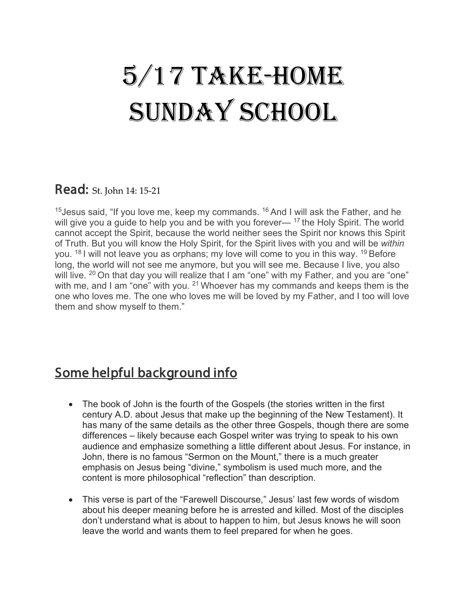# 5/17 Take-Home SUNDAY SCHOOL

#### Read: St. John 14: 15-21

<sup>15</sup> Jesus said, "If you love me, keep my commands. <sup>16</sup> And I will ask the Father, and he will give you a guide to help you and be with you forever— <sup>17</sup> the Holy Spirit. The world cannot accept the Spirit, because the world neither sees the Spirit nor knows this Spirit of Truth. But you will know the Holy Spirit, for the Spirit lives with you and will be *within*  you.  $18$  I will not leave you as orphans; my love will come to you in this way.  $19$  Before long, the world will not see me anymore, but you will see me. Because I live, you also will live. <sup>20</sup> On that day you will realize that I am "one" with my Father, and you are "one" with me, and I am "one" with you. <sup>21</sup> Whoever has my commands and keeps them is the one who loves me. The one who loves me will be loved by my Father, and I too will love them and show myself to them."

# Some helpful background info

- The book of John is the fourth of the Gospels (the stories written in the first century A.D. about Jesus that make up the beginning of the New Testament). It has many of the same details as the other three Gospels, though there are some differences – likely because each Gospel writer was trying to speak to his own audience and emphasize something a little different about Jesus. For instance, in John, there is no famous "Sermon on the Mount," there is a much greater emphasis on Jesus being "divine," symbolism is used much more, and the content is more philosophical "reflection" than description.
- This verse is part of the "Farewell Discourse," Jesus' last few words of wisdom about his deeper meaning before he is arrested and killed. Most of the disciples don't understand what is about to happen to him, but Jesus knows he will soon leave the world and wants them to feel prepared for when he goes.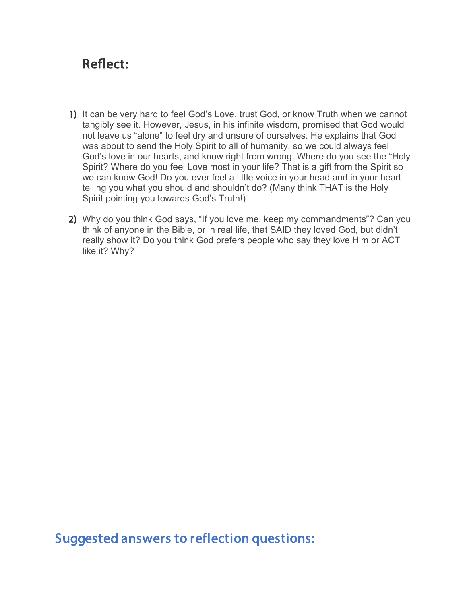### Reflect:

- 1) It can be very hard to feel God's Love, trust God, or know Truth when we cannot tangibly see it. However, Jesus, in his infinite wisdom, promised that God would not leave us "alone" to feel dry and unsure of ourselves. He explains that God was about to send the Holy Spirit to all of humanity, so we could always feel God's love in our hearts, and know right from wrong. Where do you see the "Holy Spirit? Where do you feel Love most in your life? That is a gift from the Spirit so we can know God! Do you ever feel a little voice in your head and in your heart telling you what you should and shouldn't do? (Many think THAT is the Holy Spirit pointing you towards God's Truth!)
- 2) Why do you think God says, "If you love me, keep my commandments"? Can you think of anyone in the Bible, or in real life, that SAID they loved God, but didn't really show it? Do you think God prefers people who say they love Him or ACT like it? Why?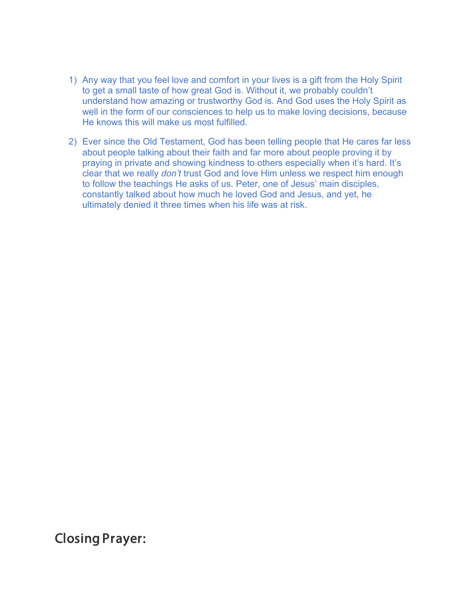- 1) Any way that you feel love and comfort in your lives is a gift from the Holy Spirit to get a small taste of how great God is. Without it, we probably couldn't understand how amazing or trustworthy God is. And God uses the Holy Spirit as well in the form of our consciences to help us to make loving decisions, because He knows this will make us most fulfilled.
- 2) Ever since the Old Testament, God has been telling people that He cares far less about people talking about their faith and far more about people proving it by praying in private and showing kindness to others especially when it's hard. It's clear that we really *don't* trust God and love Him unless we respect him enough to follow the teachings He asks of us. Peter, one of Jesus' main disciples, constantly talked about how much he loved God and Jesus, and yet, he ultimately denied it three times when his life was at risk.

Closing Prayer: